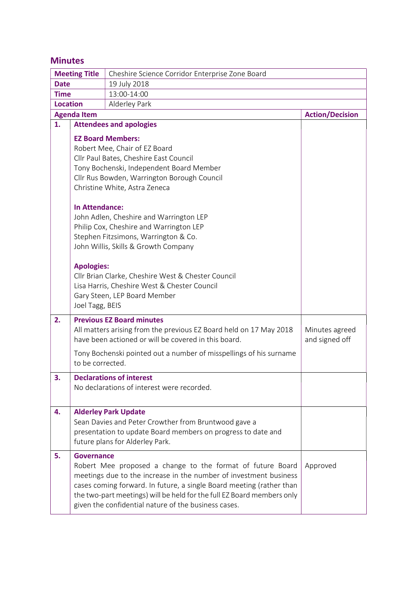# Minutes

| <b>Meeting Title</b>                         |                                          | Cheshire Science Corridor Enterprise Zone Board                                                    |                |  |  |
|----------------------------------------------|------------------------------------------|----------------------------------------------------------------------------------------------------|----------------|--|--|
| <b>Date</b>                                  |                                          | 19 July 2018                                                                                       |                |  |  |
| <b>Time</b>                                  |                                          | 13:00-14:00                                                                                        |                |  |  |
| <b>Location</b><br>Alderley Park             |                                          |                                                                                                    |                |  |  |
| <b>Action/Decision</b><br><b>Agenda Item</b> |                                          |                                                                                                    |                |  |  |
| 1.                                           |                                          | <b>Attendees and apologies</b>                                                                     |                |  |  |
|                                              |                                          | <b>EZ Board Members:</b>                                                                           |                |  |  |
|                                              | Robert Mee, Chair of EZ Board            |                                                                                                    |                |  |  |
|                                              | Cllr Paul Bates, Cheshire East Council   |                                                                                                    |                |  |  |
|                                              | Tony Bochenski, Independent Board Member |                                                                                                    |                |  |  |
|                                              |                                          | Cllr Rus Bowden, Warrington Borough Council                                                        |                |  |  |
|                                              |                                          | Christine White, Astra Zeneca                                                                      |                |  |  |
|                                              |                                          |                                                                                                    |                |  |  |
|                                              | <b>In Attendance:</b>                    |                                                                                                    |                |  |  |
|                                              |                                          | John Adlen, Cheshire and Warrington LEP                                                            |                |  |  |
|                                              | Philip Cox, Cheshire and Warrington LEP  |                                                                                                    |                |  |  |
|                                              | Stephen Fitzsimons, Warrington & Co.     |                                                                                                    |                |  |  |
|                                              |                                          | John Willis, Skills & Growth Company                                                               |                |  |  |
|                                              |                                          |                                                                                                    |                |  |  |
|                                              | <b>Apologies:</b>                        |                                                                                                    |                |  |  |
|                                              |                                          | Cllr Brian Clarke, Cheshire West & Chester Council<br>Lisa Harris, Cheshire West & Chester Council |                |  |  |
|                                              |                                          | Gary Steen, LEP Board Member                                                                       |                |  |  |
|                                              | Joel Tagg, BEIS                          |                                                                                                    |                |  |  |
|                                              |                                          |                                                                                                    |                |  |  |
| 2.                                           |                                          | <b>Previous EZ Board minutes</b>                                                                   |                |  |  |
|                                              |                                          | All matters arising from the previous EZ Board held on 17 May 2018                                 | Minutes agreed |  |  |
|                                              |                                          | have been actioned or will be covered in this board.                                               | and signed off |  |  |
|                                              |                                          | Tony Bochenski pointed out a number of misspellings of his surname                                 |                |  |  |
|                                              | to be corrected.                         |                                                                                                    |                |  |  |
| 3.                                           |                                          | <b>Declarations of interest</b>                                                                    |                |  |  |
|                                              |                                          | No declarations of interest were recorded.                                                         |                |  |  |
|                                              |                                          |                                                                                                    |                |  |  |
| 4.                                           |                                          | <b>Alderley Park Update</b>                                                                        |                |  |  |
|                                              |                                          | Sean Davies and Peter Crowther from Bruntwood gave a                                               |                |  |  |
|                                              |                                          | presentation to update Board members on progress to date and                                       |                |  |  |
|                                              |                                          | future plans for Alderley Park.                                                                    |                |  |  |
|                                              | <b>Governance</b>                        |                                                                                                    |                |  |  |
| 5.                                           |                                          | Robert Mee proposed a change to the format of future Board                                         | Approved       |  |  |
|                                              |                                          | meetings due to the increase in the number of investment business                                  |                |  |  |
|                                              |                                          | cases coming forward. In future, a single Board meeting (rather than                               |                |  |  |
|                                              |                                          | the two-part meetings) will be held for the full EZ Board members only                             |                |  |  |
|                                              |                                          | given the confidential nature of the business cases.                                               |                |  |  |
|                                              |                                          |                                                                                                    |                |  |  |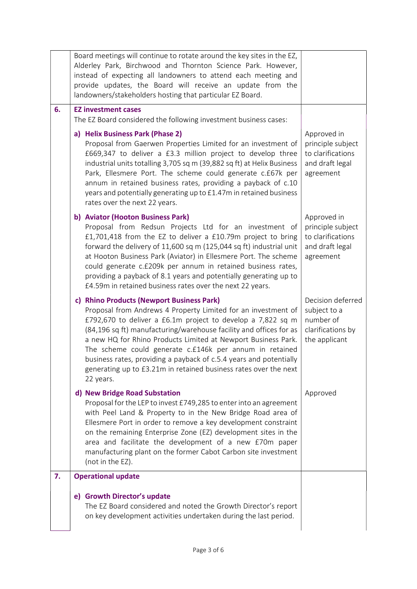|    | Board meetings will continue to rotate around the key sites in the EZ,<br>Alderley Park, Birchwood and Thornton Science Park. However,<br>instead of expecting all landowners to attend each meeting and<br>provide updates, the Board will receive an update from the<br>landowners/stakeholders hosting that particular EZ Board.                                                                                                                                                                                                |                                                                                       |
|----|------------------------------------------------------------------------------------------------------------------------------------------------------------------------------------------------------------------------------------------------------------------------------------------------------------------------------------------------------------------------------------------------------------------------------------------------------------------------------------------------------------------------------------|---------------------------------------------------------------------------------------|
| 6. | <b>EZ investment cases</b><br>The EZ Board considered the following investment business cases:                                                                                                                                                                                                                                                                                                                                                                                                                                     |                                                                                       |
|    | a) Helix Business Park (Phase 2)<br>Proposal from Gaerwen Properties Limited for an investment of<br>£669,347 to deliver a £3.3 million project to develop three<br>industrial units totalling 3,705 sq m (39,882 sq ft) at Helix Business<br>Park, Ellesmere Port. The scheme could generate c.£67k per<br>annum in retained business rates, providing a payback of c.10<br>years and potentially generating up to £1.47m in retained business<br>rates over the next 22 years.                                                   | Approved in<br>principle subject<br>to clarifications<br>and draft legal<br>agreement |
|    | b) Aviator (Hooton Business Park)<br>Proposal from Redsun Projects Ltd for an investment of<br>£1,701,418 from the EZ to deliver a £10.79m project to bring<br>forward the delivery of 11,600 sq m (125,044 sq ft) industrial unit<br>at Hooton Business Park (Aviator) in Ellesmere Port. The scheme<br>could generate c.£209k per annum in retained business rates,<br>providing a payback of 8.1 years and potentially generating up to<br>£4.59m in retained business rates over the next 22 years.                            | Approved in<br>principle subject<br>to clarifications<br>and draft legal<br>agreement |
|    | c) Rhino Products (Newport Business Park)<br>Proposal from Andrews 4 Property Limited for an investment of<br>£792,670 to deliver a £6.1m project to develop a 7,822 sq m<br>(84,196 sq ft) manufacturing/warehouse facility and offices for as<br>a new HQ for Rhino Products Limited at Newport Business Park.<br>The scheme could generate c.£146k per annum in retained<br>business rates, providing a payback of c.5.4 years and potentially<br>generating up to £3.21m in retained business rates over the next<br>22 years. | Decision deferred<br>subject to a<br>number of<br>clarifications by<br>the applicant  |
|    | d) New Bridge Road Substation<br>Proposal for the LEP to invest £749,285 to enter into an agreement<br>with Peel Land & Property to in the New Bridge Road area of<br>Ellesmere Port in order to remove a key development constraint<br>on the remaining Enterprise Zone (EZ) development sites in the<br>area and facilitate the development of a new £70m paper<br>manufacturing plant on the former Cabot Carbon site investment<br>(not in the EZ).                                                                            | Approved                                                                              |
| 7. | <b>Operational update</b>                                                                                                                                                                                                                                                                                                                                                                                                                                                                                                          |                                                                                       |
|    | e) Growth Director's update<br>The EZ Board considered and noted the Growth Director's report<br>on key development activities undertaken during the last period.                                                                                                                                                                                                                                                                                                                                                                  |                                                                                       |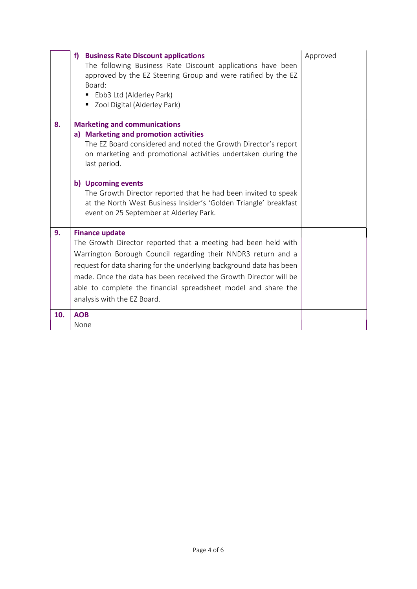|     | <b>Business Rate Discount applications</b><br>f)<br>The following Business Rate Discount applications have been<br>approved by the EZ Steering Group and were ratified by the EZ<br>Board:<br>Ebb3 Ltd (Alderley Park)<br>٠<br>Zool Digital (Alderley Park)<br>ш                                                                                                                                                                       | Approved |
|-----|----------------------------------------------------------------------------------------------------------------------------------------------------------------------------------------------------------------------------------------------------------------------------------------------------------------------------------------------------------------------------------------------------------------------------------------|----------|
| 8.  | <b>Marketing and communications</b><br>a) Marketing and promotion activities<br>The EZ Board considered and noted the Growth Director's report<br>on marketing and promotional activities undertaken during the<br>last period.<br>b) Upcoming events<br>The Growth Director reported that he had been invited to speak<br>at the North West Business Insider's 'Golden Triangle' breakfast<br>event on 25 September at Alderley Park. |          |
| 9.  | <b>Finance update</b><br>The Growth Director reported that a meeting had been held with<br>Warrington Borough Council regarding their NNDR3 return and a<br>request for data sharing for the underlying background data has been<br>made. Once the data has been received the Growth Director will be<br>able to complete the financial spreadsheet model and share the<br>analysis with the EZ Board.                                 |          |
| 10. | <b>AOB</b><br>None                                                                                                                                                                                                                                                                                                                                                                                                                     |          |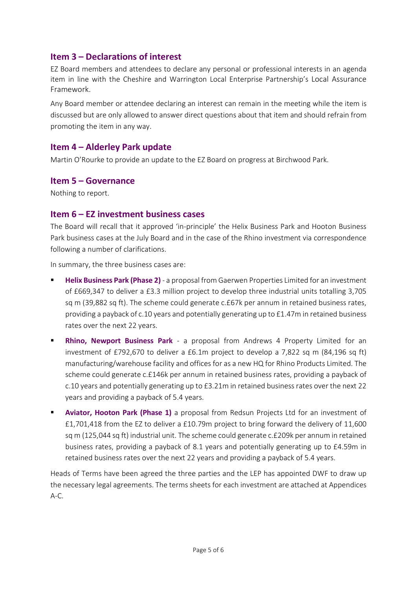# Item 3 – Declarations of interest

EZ Board members and attendees to declare any personal or professional interests in an agenda item in line with the Cheshire and Warrington Local Enterprise Partnership's Local Assurance Framework.

Any Board member or attendee declaring an interest can remain in the meeting while the item is discussed but are only allowed to answer direct questions about that item and should refrain from promoting the item in any way.

# Item 4 – Alderley Park update

Martin O'Rourke to provide an update to the EZ Board on progress at Birchwood Park.

### Item 5 – Governance

Nothing to report.

### Item 6 – EZ investment business cases

The Board will recall that it approved 'in-principle' the Helix Business Park and Hooton Business Park business cases at the July Board and in the case of the Rhino investment via correspondence following a number of clarifications.

In summary, the three business cases are:

- Helix Business Park (Phase 2) a proposal from Gaerwen Properties Limited for an investment of £669,347 to deliver a £3.3 million project to develop three industrial units totalling 3,705 sq m (39,882 sq ft). The scheme could generate c.£67k per annum in retained business rates, providing a payback of c.10 years and potentially generating up to £1.47m in retained business rates over the next 22 years.
- **Rhino, Newport Business Park** a proposal from Andrews 4 Property Limited for an investment of £792,670 to deliver a £6.1m project to develop a 7,822 sq m (84,196 sq ft) manufacturing/warehouse facility and offices for as a new HQ for Rhino Products Limited. The scheme could generate c.£146k per annum in retained business rates, providing a payback of c.10 years and potentially generating up to £3.21m in retained business rates over the next 22 years and providing a payback of 5.4 years.
- **Aviator, Hooton Park (Phase 1)** a proposal from Redsun Projects Ltd for an investment of £1,701,418 from the EZ to deliver a £10.79m project to bring forward the delivery of 11,600 sq m (125,044 sq ft) industrial unit. The scheme could generate c.£209k per annum in retained business rates, providing a payback of 8.1 years and potentially generating up to £4.59m in retained business rates over the next 22 years and providing a payback of 5.4 years.

Heads of Terms have been agreed the three parties and the LEP has appointed DWF to draw up the necessary legal agreements. The terms sheets for each investment are attached at Appendices A-C.